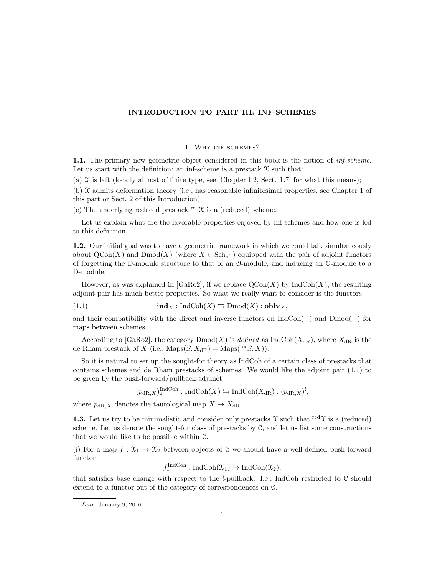# INTRODUCTION TO PART III: INF-SCHEMES

### 1. Why inf-schemes?

1.1. The primary new geometric object considered in this book is the notion of inf-scheme. Let us start with the definition: an inf-scheme is a prestack  $\mathfrak X$  such that:

(a)  $\mathfrak X$  is laft (locally almost of finite type, see [Chapter I.2, Sect. 1.7] for what this means);

(b)  $\mathfrak X$  admits deformation theory (i.e., has reasonable infinitesimal properties, see Chapter 1 of this part or Sect. 2 of this Introduction);

(c) The underlying reduced prestack red $\mathfrak{X}$  is a (reduced) scheme.

Let us explain what are the favorable properties enjoyed by inf-schemes and how one is led to this definition.

1.2. Our initial goal was to have a geometric framework in which we could talk simultaneously about  $\mathrm{QCoh}(X)$  and  $\mathrm{Dmod}(X)$  (where  $X \in \mathrm{Sch}_{\mathrm{aff}}$ ) equipped with the pair of adjoint functors of forgetting the D-module structure to that of an O-module, and inducing an O-module to a D-module.

However, as was explained in [GaRo2], if we replace  $\text{QCoh}(X)$  by  $\text{IndCoh}(X)$ , the resulting adjoint pair has much better properties. So what we really want to consider is the functors

(1.1) 
$$
\mathbf{ind}_X : \mathrm{IndCoh}(X) \leftrightarrows \mathrm{Dmod}(X) : \mathbf{oblv}_X,
$$

and their compatibility with the direct and inverse functors on IndCoh(−) and Dmod(−) for maps between schemes.

According to [GaRo2], the category  $\text{Dmod}(X)$  is defined as IndCoh( $X_{\text{dR}}$ ), where  $X_{\text{dR}}$  is the de Rham prestack of X (i.e.,  $\text{Maps}(S, X_{\text{dR}}) = \text{Maps}^{(\text{red}S, X)}$ ).

So it is natural to set up the sought-for theory as IndCoh of a certain class of prestacks that contains schemes and de Rham prestacks of schemes. We would like the adjoint pair (1.1) to be given by the push-forward/pullback adjunct

 $(p_{\text{dR},X})_*^{\text{IndCoh}} : \text{IndCoh}(X) \leftrightarrows \text{IndCoh}(X_{\text{dR}}) : (p_{\text{dR},X})^!,$ 

where  $p_{\text{dR},X}$  denotes the tautological map  $X\to X_{\text{dR}}.$ 

**1.3.** Let us try to be minimalistic and consider only prestacks  $\mathfrak X$  such that red $\mathfrak X$  is a (reduced) scheme. Let us denote the sought-for class of prestacks by C, and let us list some constructions that we would like to be possible within C.

(i) For a map  $f: \mathfrak{X}_1 \to \mathfrak{X}_2$  between objects of C we should have a well-defined push-forward functor

$$
f_*^{\text{IndCoh}}: \text{IndCoh}(\mathfrak{X}_1) \to \text{IndCoh}(\mathfrak{X}_2),
$$

that satisfies base change with respect to the !-pullback. I.e., IndCoh restricted to C should extend to a functor out of the category of correspondences on C.

Date: January 9, 2016.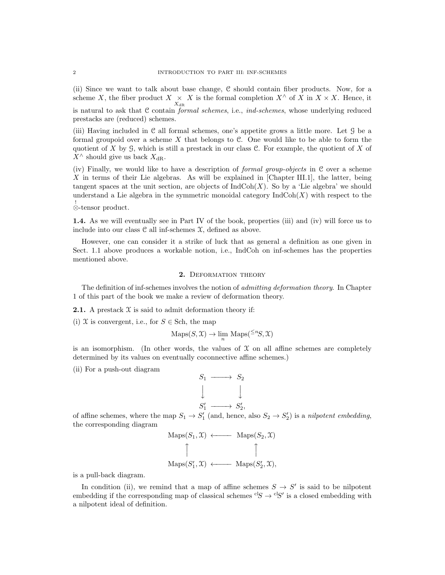(ii) Since we want to talk about base change, C should contain fiber products. Now, for a scheme X, the fiber product  $X \underset{X_{dR}}{\times} X$  is the formal completion  $X^{\wedge}$  of X in  $X \times X$ . Hence, it is natural to ask that C contain formal schemes, i.e., ind-schemes, whose underlying reduced prestacks are (reduced) schemes.

(iii) Having included in C all formal schemes, one's appetite grows a little more. Let G be a formal groupoid over a scheme  $X$  that belongs to  $C$ . One would like to be able to form the quotient of X by  $\mathcal G$ , which is still a prestack in our class  $\mathcal C$ . For example, the quotient of X of  $X^{\wedge}$  should give us back  $X_{\text{dR}}$ .

(iv) Finally, we would like to have a description of formal group-objects in C over a scheme X in terms of their Lie algebras. As will be explained in [Chapter III.1], the latter, being tangent spaces at the unit section, are objects of  $IndCoh(X)$ . So by a 'Lie algebra' we should understand a Lie algebra in the symmetric monoidal category  $\text{IndCoh}(X)$  with respect to the ! ⊗-tensor product.

1.4. As we will eventually see in Part IV of the book, properties (iii) and (iv) will force us to include into our class  $\mathcal C$  all inf-schemes  $\mathcal X$ , defined as above.

However, one can consider it a strike of luck that as general a definition as one given in Sect. 1.1 above produces a workable notion, i.e., IndCoh on inf-schemes has the properties mentioned above.

# 2. DEFORMATION THEORY

The definition of inf-schemes involves the notion of *admitting deformation theory*. In Chapter 1 of this part of the book we make a review of deformation theory.

**2.1.** A prestack  $X$  is said to admit deformation theory if:

(i) X is convergent, i.e., for  $S \in Sch$ , the map

$$
\mathrm{Maps}(S, \mathcal{X}) \to \lim_{n} \mathrm{Maps}({}^{\leq n}S, \mathcal{X})
$$

is an isomorphism. (In other words, the values of  $\mathfrak X$  on all affine schemes are completely determined by its values on eventually coconnective affine schemes.)

(ii) For a push-out diagram

$$
S_1 \longrightarrow S_2
$$
  

$$
\downarrow \qquad \qquad \downarrow
$$
  

$$
S'_1 \longrightarrow S'_2,
$$

of affine schemes, where the map  $S_1 \to S'_1$  (and, hence, also  $S_2 \to S'_2$ ) is a nilpotent embedding, the corresponding diagram

$$
\text{Maps}(S_1, \mathcal{X}) \longleftarrow \text{Maps}(S_2, \mathcal{X})
$$
\n
$$
\uparrow \qquad \qquad \uparrow
$$
\n
$$
\text{Maps}(S'_1, \mathcal{X}) \longleftarrow \text{Maps}(S'_2, \mathcal{X}),
$$

is a pull-back diagram.

In condition (ii), we remind that a map of affine schemes  $S \to S'$  is said to be nilpotent embedding if the corresponding map of classical schemes  ${}^{c}S \rightarrow {}^{c}S'$  is a closed embedding with a nilpotent ideal of definition.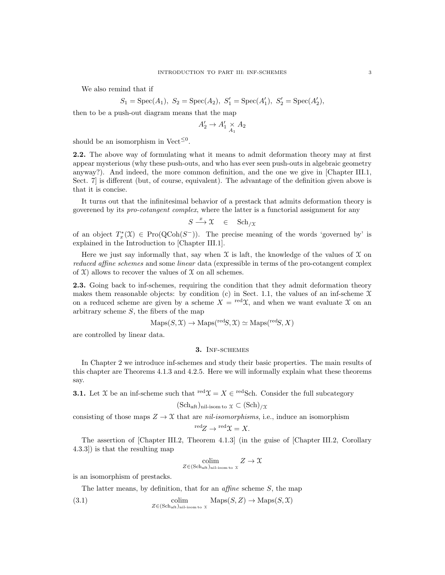We also remind that if

$$
S_1 = \text{Spec}(A_1), S_2 = \text{Spec}(A_2), S'_1 = \text{Spec}(A'_1), S'_2 = \text{Spec}(A'_2),
$$

then to be a push-out diagram means that the map

$$
A'_2 \to A'_1 \underset{A_1}{\times} A_2
$$

should be an isomorphism in Vect<sup> $\leq 0$ </sup>.

2.2. The above way of formulating what it means to admit deformation theory may at first appear mysterious (why these push-outs, and who has ever seen push-outs in algebraic geometry anyway?). And indeed, the more common definition, and the one we give in [Chapter III.1, Sect. 7] is different (but, of course, equivalent). The advantage of the definition given above is that it is concise.

It turns out that the infinitesimal behavior of a prestack that admits deformation theory is goverened by its pro-cotangent complex, where the latter is a functorial assignment for any

$$
S \xrightarrow{x} \mathfrak{X} \in \text{Sch}_{/\mathfrak{X}}
$$

of an object  $T^*_x(\mathfrak{X}) \in \mathrm{Pro}(\mathrm{QCoh}(S^-))$ . The precise meaning of the words 'governed by' is explained in the Introduction to [Chapter III.1].

Here we just say informally that, say when  $\mathfrak X$  is laft, the knowledge of the values of  $\mathfrak X$  on reduced affine schemes and some linear data (expressible in terms of the pro-cotangent complex of  $X$ ) allows to recover the values of  $X$  on all schemes.

2.3. Going back to inf-schemes, requiring the condition that they admit deformation theory makes them reasonable objects: by condition (c) in Sect. 1.1, the values of an inf-scheme  $\mathfrak X$ on a reduced scheme are given by a scheme  $X = \text{red} \chi$ , and when we want evaluate X on an arbitrary scheme  $S$ , the fibers of the map

$$
Maps(S, \mathcal{X}) \to Maps(^{\text{red}}S, \mathcal{X}) \simeq Maps(^{\text{red}}S, X)
$$

are controlled by linear data.

### 3. Inf-schemes

In Chapter 2 we introduce inf-schemes and study their basic properties. The main results of this chapter are Theorems 4.1.3 and 4.2.5. Here we will informally explain what these theorems say.

**3.1.** Let X be an inf-scheme such that  $\text{red}\mathfrak{X} = X \in \text{redSch}$ . Consider the full subcategory

$$
(\mathrm{Sch}_{\mathrm{aff}})_{\mathrm{nil-isom \, to} \, \mathfrak{X}} \subset (\mathrm{Sch})_{/\mathfrak{X}}
$$

consisting of those maps  $Z \to \mathfrak{X}$  that are *nil-isomorphisms*, i.e., induce an isomorphism  $\text{red}_Z \rightarrow \text{red} \gamma = X.$ 

The assertion of [Chapter III.2, Theorem 4.1.3] (in the guise of [Chapter III.2, Corollary 4.3.3]) is that the resulting map

$$
\underset{Z \in (\text{Sch}_\text{aft})_{\text{nil-isom to } X}}{\text{colim}} Z \to \mathfrak{X}
$$

is an isomorphism of prestacks.

The latter means, by definition, that for an *affine* scheme S, the map

(3.1) colim  

$$
Z \in (\text{Sch}_{\text{aff}})_{\text{nil-isom to } X} \text{Maps}(S, Z) \to \text{Maps}(S, \mathcal{X})
$$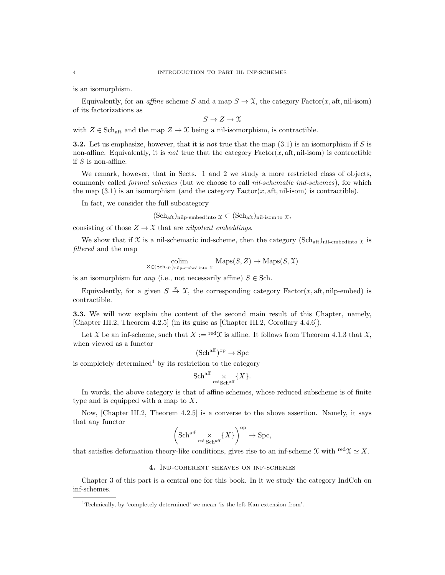is an isomorphism.

Equivalently, for an *affine* scheme S and a map  $S \to \mathfrak{X}$ , the category Factor(x, aft, nil-isom) of its factorizations as

 $S \to Z \to \mathfrak{X}$ 

with  $Z \in \text{Sch}_{\text{aft}}$  and the map  $Z \to \mathfrak{X}$  being a nil-isomorphism, is contractible.

**3.2.** Let us emphasize, however, that it is not true that the map  $(3.1)$  is an isomorphism if S is non-affine. Equivalently, it is *not* true that the category  $Factor(x, \text{aft}, \text{nil-isom})$  is contractible if  $S$  is non-affine.

We remark, however, that in Sects. 1 and 2 we study a more restricted class of objects, commonly called *formal schemes* (but we choose to call *nil-schematic ind-schemes*), for which the map  $(3.1)$  is an isomorphism (and the category Factor $(x, \text{aft}, \text{nil-isom})$  is contractible).

In fact, we consider the full subcategory

 $(\text{Sch}_{\text{aft}})_{\text{nilp-embed into}} \chi \subset (\text{Sch}_{\text{aft}})_{\text{nil-isom to}} \chi,$ 

consisting of those  $Z \to \mathfrak{X}$  that are *nilpotent embeddings*.

We show that if  $\mathfrak X$  is a nil-schematic ind-scheme, then the category  $(\text{Sch}_{\text{aff}})_{\text{nil-embedding}} \chi$  is filtered and the map

$$
\underset{Z \in (\text{Sch}_{\text{aff}})_{\text{nilp-embed into }\mathcal{X}}}{\text{colim}} \ \ \underset{\text{Maps}(S, Z)}{\text{Maps}(S, \mathcal{X})} \rightarrow \text{Maps}(S, \mathcal{X})
$$

is an isomorphism for *any* (i.e., not necessarily affine)  $S \in Sch$ .

Equivalently, for a given  $S \stackrel{x}{\to} \mathfrak{X}$ , the corresponding category Factor(x, aft, nilp-embed) is contractible.

3.3. We will now explain the content of the second main result of this Chapter, namely, [Chapter III.2, Theorem 4.2.5] (in its guise as [Chapter III.2, Corollary 4.4.6]).

Let X be an inf-scheme, such that  $X := \text{red}\mathfrak{X}$  is affine. It follows from Theorem 4.1.3 that X, when viewed as a functor

$$
(\mathrm{Sch}^{\mathrm{aff}})^{\mathrm{op}} \to \mathrm{Spc}
$$

is completely determined<sup>1</sup> by its restriction to the category

$$
\mathrm{Sch}^{\mathrm{aff}} \underset{\mathrm{redSch}^{\mathrm{aff}}}{\times} \{X\}.
$$

In words, the above category is that of affine schemes, whose reduced subscheme is of finite type and is equipped with a map to X.

Now, [Chapter III.2, Theorem 4.2.5] is a converse to the above assertion. Namely, it says that any functor

$$
\left(\operatorname{Sch}^{\operatorname{aff}}\underset{\operatorname{red}\, \operatorname{Sch}^{\operatorname{aff}}}{\times}\{X\}\right)^{\operatorname{op}}\to \operatorname{Spc},
$$

that satisfies deformation theory-like conditions, gives rise to an inf-scheme X with  $\text{red}\chi \simeq X$ .

# 4. Ind-coherent sheaves on inf-schemes

Chapter 3 of this part is a central one for this book. In it we study the category IndCoh on inf-schemes.

<sup>1</sup>Technically, by 'completely determined' we mean 'is the left Kan extension from'.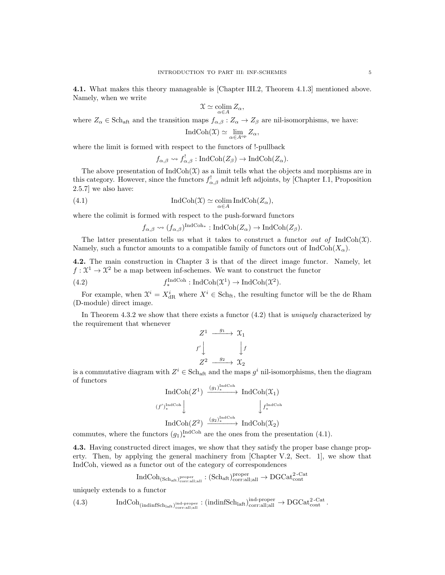4.1. What makes this theory manageable is [Chapter III.2, Theorem 4.1.3] mentioned above. Namely, when we write

$$
\mathfrak{X} \simeq \operatornamewithlimits{colim}_{\alpha \in A} Z_\alpha,
$$

where  $Z_{\alpha} \in \text{Sch}_{\text{aff}}$  and the transition maps  $f_{\alpha,\beta}: Z_{\alpha} \to Z_{\beta}$  are nil-isomorphisms, we have:

$$
\operatorname{IndCoh}(\mathfrak{X}) \simeq \lim_{\alpha \in A^{\rm op}} Z_{\alpha},
$$

where the limit is formed with respect to the functors of !-pullback

$$
f_{\alpha,\beta} \rightsquigarrow f_{\alpha,\beta}^!
$$
: IndCoh $(Z_{\beta}) \rightarrow$ IndCoh $(Z_{\alpha})$ .

The above presentation of  $IndCoh(\mathcal{X})$  as a limit tells what the objects and morphisms are in this category. However, since the functors  $f_{\alpha,\beta}^!$  admit left adjoints, by [Chapter I.1, Proposition 2.5.7] we also have:

(4.1) 
$$
\operatorname{IndCoh}(\mathfrak{X}) \simeq \underset{\alpha \in A}{\operatorname{colim}} \operatorname{IndCoh}(Z_{\alpha}),
$$

where the colimit is formed with respect to the push-forward functors

 $f_{\alpha,\beta} \rightsquigarrow (f_{\alpha,\beta})^{\text{IndCoh}_{*}} : \text{IndCoh}(Z_{\alpha}) \rightarrow \text{IndCoh}(Z_{\beta}).$ 

The latter presentation tells us what it takes to construct a functor *out of* IndCoh( $\mathfrak{X}$ ). Namely, such a functor amounts to a compatible family of functors out of  $IndCoh(X<sub>\alpha</sub>)$ .

4.2. The main construction in Chapter 3 is that of the direct image functor. Namely, let  $f: \mathfrak{X}^1 \to \mathfrak{X}^2$  be a map between inf-schemes. We want to construct the functor

(4.2) 
$$
f_*^{\text{IndCoh}} : \text{IndCoh}(\mathfrak{X}^1) \to \text{IndCoh}(\mathfrak{X}^2).
$$

For example, when  $\mathcal{X}^i = X_{\text{dR}}^i$  where  $X^i \in \text{Sch}_{\text{ft}}$ , the resulting functor will be the de Rham (D-module) direct image.

In Theorem 4.3.2 we show that there exists a functor  $(4.2)$  that is *uniquely* characterized by the requirement that whenever

$$
Z^{1} \xrightarrow{g_{1}} \mathcal{X}_{1}
$$
\n
$$
f' \downarrow \qquad \qquad \downarrow f
$$
\n
$$
Z^{2} \xrightarrow{g_{2}} \mathcal{X}_{2}
$$

is a commutative diagram with  $Z^i \in \text{Sch}_{\text{aff}}$  and the maps  $g^i$  nil-isomorphisms, then the diagram of functors

$$
\operatorname{IndCoh}(Z^1) \xrightarrow{(g_1)^{\operatorname{IndCoh}}}_{*} \operatorname{IndCoh}(\mathfrak{X}_1)
$$
  

$$
(f')_*^{\operatorname{IndCoh}} \downarrow \qquad \qquad \downarrow f_*^{\operatorname{IndCoh}} \downarrow
$$
  

$$
\operatorname{IndCoh}(Z^2) \xrightarrow{(g_2)^{\operatorname{IndCoh}}}_{*} \operatorname{IndCoh}(\mathfrak{X}_2)
$$

commutes, where the functors  $(g_1)_{*}^{\text{IndCoh}}$  are the ones from the presentation (4.1).

4.3. Having constructed direct images, we show that they satisfy the proper base change property. Then, by applying the general machinery from [Chapter V.2, Sect. 1], we show that IndCoh, viewed as a functor out of the category of correspondences

$$
\mathrm{IndCoh}_{(\mathrm{Sch}_\mathrm{aft})^{\mathrm{proper}}_{\mathrm{corr:all;all}}}: (\mathrm{Sch}_\mathrm{aft})^{\mathrm{proper}}_{\mathrm{corr:all;all}} \to \mathrm{DGCat}_{\mathrm{cont}}^{2\text{-}\mathrm{Cat}}
$$

uniquely extends to a functor

$$
(4.3) \qquad \qquad IndCoh_{(indinfSch_{latt})_{\text{corr:all;all}}^{\text{ind-proper}}} : (indinfSch_{latt})_{\text{corr:all;all}}^{\text{ind-proper}} \rightarrow DGCat_{\text{cont}}^{2\text{-Cat}}.
$$